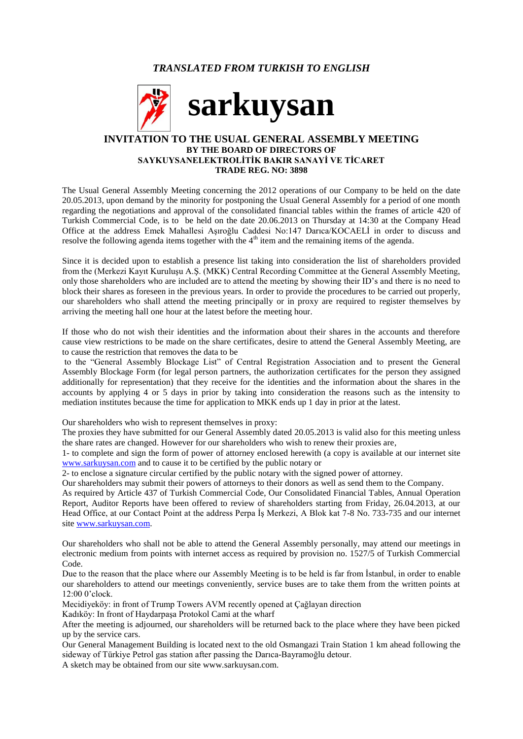# *TRANSLATED FROM TURKISH TO ENGLISH*



### **INVITATION TO THE USUAL GENERAL ASSEMBLY MEETING BY THE BOARD OF DIRECTORS OF SAYKUYSANELEKTROLİTİK BAKIR SANAYİ VE TİCARET TRADE REG. NO: 3898**

The Usual General Assembly Meeting concerning the 2012 operations of our Company to be held on the date 20.05.2013, upon demand by the minority for postponing the Usual General Assembly for a period of one month regarding the negotiations and approval of the consolidated financial tables within the frames of article 420 of Turkish Commercial Code, is to be held on the date 20.06.2013 on Thursday at 14:30 at the Company Head Office at the address Emek Mahallesi Aşıroğlu Caddesi No:147 Darıca/KOCAELİ in order to discuss and resolve the following agenda items together with the  $4<sup>th</sup>$  item and the remaining items of the agenda.

Since it is decided upon to establish a presence list taking into consideration the list of shareholders provided from the (Merkezi Kayıt Kuruluşu A.Ş. (MKK) Central Recording Committee at the General Assembly Meeting, only those shareholders who are included are to attend the meeting by showing their ID's and there is no need to block their shares as foreseen in the previous years. In order to provide the procedures to be carried out properly, our shareholders who shall attend the meeting principally or in proxy are required to register themselves by arriving the meeting hall one hour at the latest before the meeting hour.

If those who do not wish their identities and the information about their shares in the accounts and therefore cause view restrictions to be made on the share certificates, desire to attend the General Assembly Meeting, are to cause the restriction that removes the data to be

to the "General Assembly Blockage List" of Central Registration Association and to present the General Assembly Blockage Form (for legal person partners, the authorization certificates for the person they assigned additionally for representation) that they receive for the identities and the information about the shares in the accounts by applying 4 or 5 days in prior by taking into consideration the reasons such as the intensity to mediation institutes because the time for application to MKK ends up 1 day in prior at the latest.

Our shareholders who wish to represent themselves in proxy:

The proxies they have submitted for our General Assembly dated 20.05.2013 is valid also for this meeting unless the share rates are changed. However for our shareholders who wish to renew their proxies are,

1- to complete and sign the form of power of attorney enclosed herewith (a copy is available at our internet site [www.sarkuysan.com](http://www.sarkuysan.com/) and to cause it to be certified by the public notary or

2- to enclose a signature circular certified by the public notary with the signed power of attorney.

Our shareholders may submit their powers of attorneys to their donors as well as send them to the Company.

As required by Article 437 of Turkish Commercial Code, Our Consolidated Financial Tables, Annual Operation Report, Auditor Reports have been offered to review of shareholders starting from Friday, 26.04.2013, at our Head Office, at our Contact Point at the address Perpa İş Merkezi, A Blok kat 7-8 No. 733-735 and our internet site [www.sarkuysan.com.](http://www.sarkuysan.com/)

Our shareholders who shall not be able to attend the General Assembly personally, may attend our meetings in electronic medium from points with internet access as required by provision no. 1527/5 of Turkish Commercial Code.

Due to the reason that the place where our Assembly Meeting is to be held is far from İstanbul, in order to enable our shareholders to attend our meetings conveniently, service buses are to take them from the written points at 12:00 0'clock.

Mecidiyeköy: in front of Trump Towers AVM recently opened at Çağlayan direction

Kadıköy: In front of Haydarpaşa Protokol Cami at the wharf

After the meeting is adjourned, our shareholders will be returned back to the place where they have been picked up by the service cars.

Our General Management Building is located next to the old Osmangazi Train Station 1 km ahead following the sideway of Türkiye Petrol gas station after passing the Darıca-Bayramoğlu detour.

A sketch may be obtained from our site www.sarkuysan.com.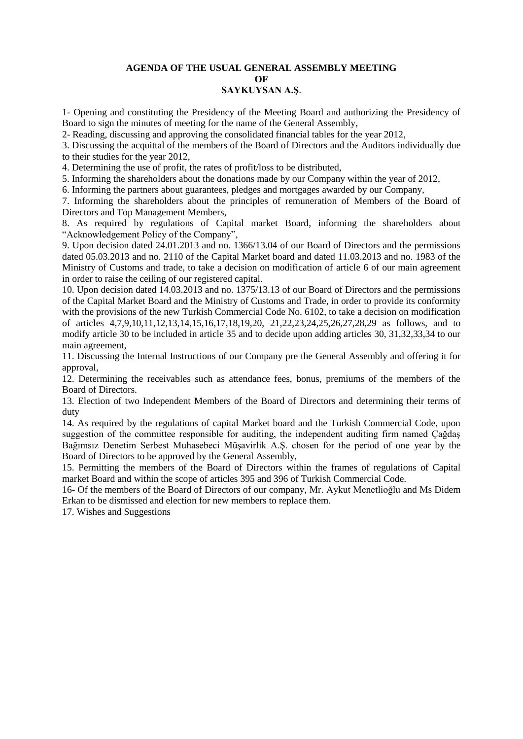# **AGENDA OF THE USUAL GENERAL ASSEMBLY MEETING OF**

**SAYKUYSAN A.Ş**.

1- Opening and constituting the Presidency of the Meeting Board and authorizing the Presidency of Board to sign the minutes of meeting for the name of the General Assembly,

2- Reading, discussing and approving the consolidated financial tables for the year 2012,

3. Discussing the acquittal of the members of the Board of Directors and the Auditors individually due to their studies for the year 2012,

4. Determining the use of profit, the rates of profit/loss to be distributed,

5. Informing the shareholders about the donations made by our Company within the year of 2012,

6. Informing the partners about guarantees, pledges and mortgages awarded by our Company,

7. Informing the shareholders about the principles of remuneration of Members of the Board of Directors and Top Management Members,

8. As required by regulations of Capital market Board, informing the shareholders about "Acknowledgement Policy of the Company",

9. Upon decision dated 24.01.2013 and no. 1366/13.04 of our Board of Directors and the permissions dated 05.03.2013 and no. 2110 of the Capital Market board and dated 11.03.2013 and no. 1983 of the Ministry of Customs and trade, to take a decision on modification of article 6 of our main agreement in order to raise the ceiling of our registered capital.

10. Upon decision dated 14.03.2013 and no. 1375/13.13 of our Board of Directors and the permissions of the Capital Market Board and the Ministry of Customs and Trade, in order to provide its conformity with the provisions of the new Turkish Commercial Code No. 6102, to take a decision on modification of articles 4,7,9,10,11,12,13,14,15,16,17,18,19,20, 21,22,23,24,25,26,27,28,29 as follows, and to modify article 30 to be included in article 35 and to decide upon adding articles 30, 31,32,33,34 to our main agreement,

11. Discussing the Internal Instructions of our Company pre the General Assembly and offering it for approval,

12. Determining the receivables such as attendance fees, bonus, premiums of the members of the Board of Directors.

13. Election of two Independent Members of the Board of Directors and determining their terms of duty

14. As required by the regulations of capital Market board and the Turkish Commercial Code, upon suggestion of the committee responsible for auditing, the independent auditing firm named Çağdaş Bağımsız Denetim Serbest Muhasebeci Müşavirlik A.Ş. chosen for the period of one year by the Board of Directors to be approved by the General Assembly,

15. Permitting the members of the Board of Directors within the frames of regulations of Capital market Board and within the scope of articles 395 and 396 of Turkish Commercial Code.

16- Of the members of the Board of Directors of our company, Mr. Aykut Menetlioğlu and Ms Didem Erkan to be dismissed and election for new members to replace them.

17. Wishes and Suggestions